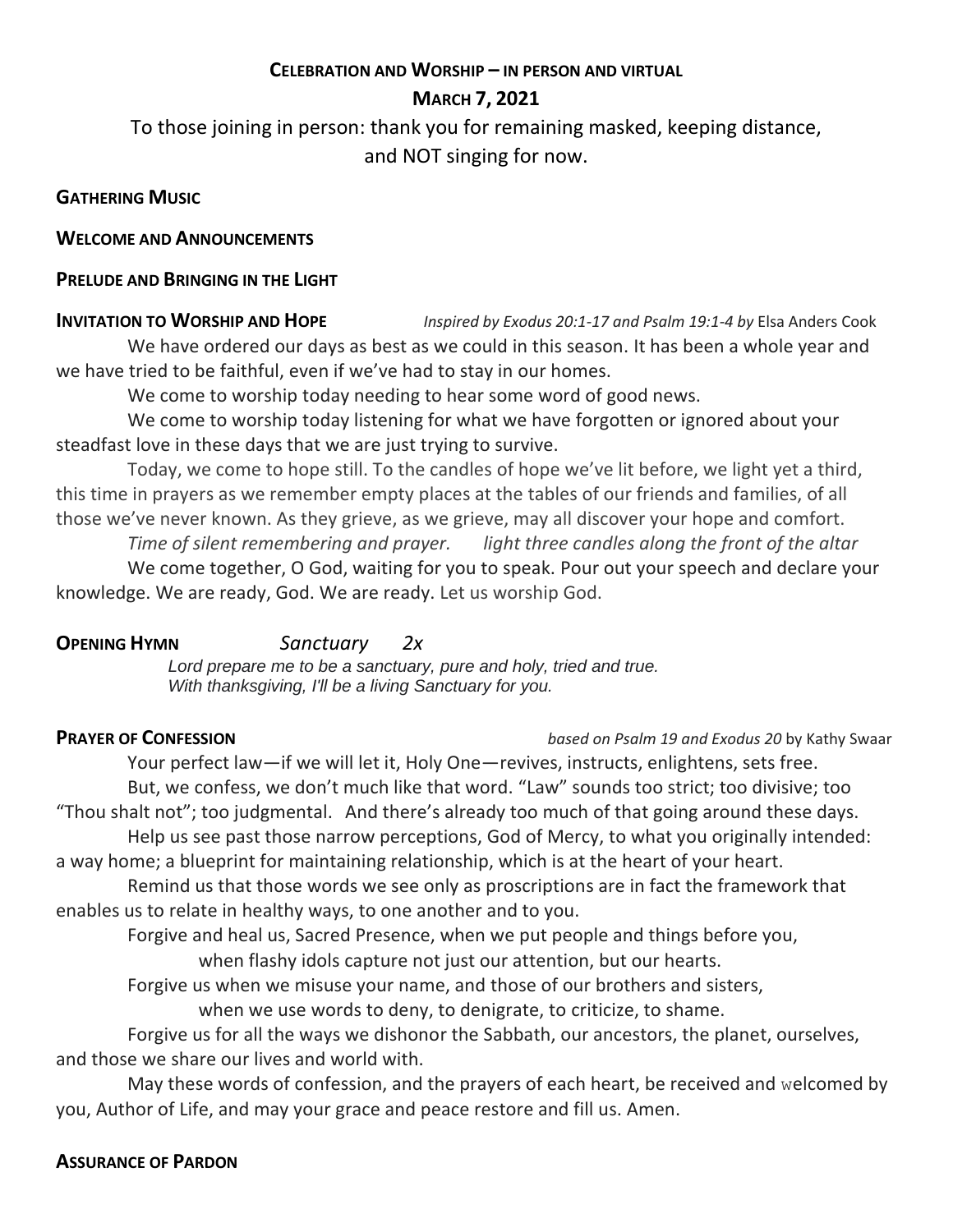# **CELEBRATION AND WORSHIP – IN PERSON AND VIRTUAL**

# **MARCH 7, 2021**

To those joining in person: thank you for remaining masked, keeping distance, and NOT singing for now.

# **GATHERING MUSIC**

## **WELCOME AND ANNOUNCEMENTS**

# **PRELUDE AND BRINGING IN THE LIGHT**

**INVITATION TO WORSHIP AND HOPE** *Inspired by Exodus 20:1-17 and Psalm 19:1-4 by* Elsa Anders Cook We have ordered our days as best as we could in this season. It has been a whole year and we have tried to be faithful, even if we've had to stay in our homes.

We come to worship today needing to hear some word of good news.

We come to worship today listening for what we have forgotten or ignored about your steadfast love in these days that we are just trying to survive.

Today, we come to hope still. To the candles of hope we've lit before, we light yet a third, this time in prayers as we remember empty places at the tables of our friends and families, of all those we've never known. As they grieve, as we grieve, may all discover your hope and comfort.

*Time of silent remembering and prayer. light three candles along the front of the altar* We come together, O God, waiting for you to speak. Pour out your speech and declare your knowledge. We are ready, God. We are ready. Let us worship God.

**OPENING HYMN** *Sanctuary 2x Lord prepare me to be a sanctuary, pure and holy, tried and true. With thanksgiving, I'll be a living Sanctuary for you.*

**PRAYER OF CONFESSION** *based on Psalm 19 and Exodus 20 by Kathy Swaar* 

Your perfect law—if we will let it, Holy One—revives, instructs, enlightens, sets free. But, we confess, we don't much like that word. "Law" sounds too strict; too divisive; too "Thou shalt not"; too judgmental. And there's already too much of that going around these days. Help us see past those narrow perceptions, God of Mercy, to what you originally intended: a way home; a blueprint for maintaining relationship, which is at the heart of your heart.

Remind us that those words we see only as proscriptions are in fact the framework that enables us to relate in healthy ways, to one another and to you.

Forgive and heal us, Sacred Presence, when we put people and things before you, when flashy idols capture not just our attention, but our hearts.

Forgive us when we misuse your name, and those of our brothers and sisters,

when we use words to deny, to denigrate, to criticize, to shame.

Forgive us for all the ways we dishonor the Sabbath, our ancestors, the planet, ourselves, and those we share our lives and world with.

May these words of confession, and the prayers of each heart, be received and welcomed by you, Author of Life, and may your grace and peace restore and fill us. Amen.

# **ASSURANCE OF PARDON**